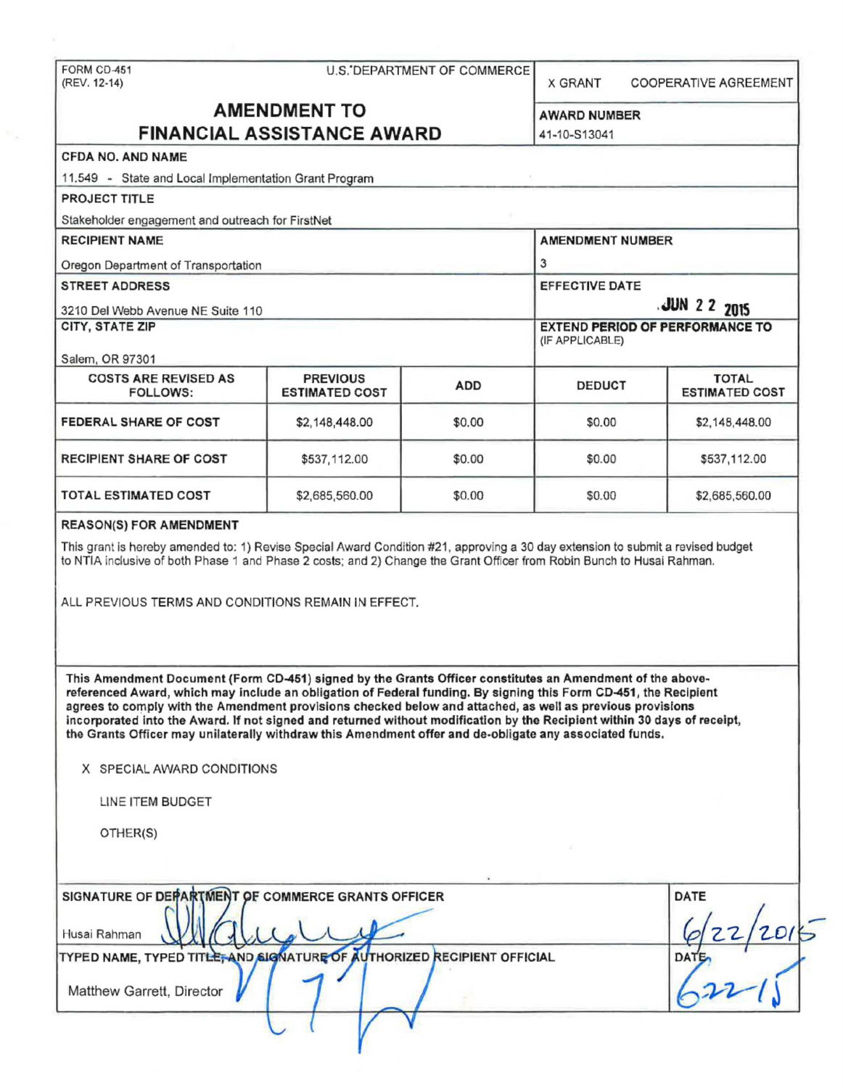FORM CD-451 U.S.'DEPARTMENT OF COMMERCE (REV. 12-14) X GRANT COOPERATIVE AGREEMENT **AMENDMENT TO**  AWARD NUMBER **FINANCIAL ASSISTANCE AWARD**  41-10-813041 CFDA NO. AND NAME 11.549 - State and Local Implementation Grant Program PROJECT TITLE Stakeholder engagement and outreach for FirstNet RECIPIENT NAME AMENDMENT NUMBER 3 Oregon Department of Transportation STREET ADDRESS EFFECTIVE DATE **.JUN 2 2 2015**  3210 Del Webb Avenue NE Suite 110 EXTEND PERIOD OF PERFORMANCE TO CITY, STATE ZIP (IF APPLICABLE) Salem, OR 97301 COSTS ARE REVISED AS PREVIOUS TOTAL ADD DEDUCT ESTIMATED COST FOLLOWS: ESTIMATED COST FEDERAL SHARE OF COST \$2,148,448.00 \$0.00 \$0.00 \$2,148,448.00 RECIPIENT SHARE OF COST \$537,112.00 \$0.00 \$0.00 \$537,112.00 TOTAL ESTIMATED COST \$2,685,560.00 \$0.00 \$0.00 \$2,685,560.00 REASON(S) FOR AMENDMENT This grant is hereby amended to: 1) Revise Special Award Condition #21, approving a 30 day extension to submit a revised budget to NTIA inclusive of both Phase 1 and Phase 2 costs; and 2) Change the Grant Officer from Robin Bunch to Husai Rahman. ALL PREVIOUS TERMS AND CONDITIONS REMAIN IN EFFECT. This Amendment Document (Form CD-451) signed by the Grants Officer constitutes an Amendment of the abovereferenced Award, which may Include an obligation of Federal funding. By signing this Form CD-451, the Recipient agrees to comply with the Amendment provisions checked below and attached, as well as previous provisions incorporated into the Award. If not signed and returned without modification by the Recipient within 30 days of receipt, the Grants Officer may unilaterally withdraw this Amendment offer and de-obligate any associated funds. X SPECIAL AWARD CONDITIONS LINE ITEM BUDGET OTHER(S) SIGNATURE OF DEPARTMENT OF COMMERCE GRANTS OFFICER<br>
Husai Rahman<br>
TYPED NAME, TYPED TITLE, AND SIGNATURE OF AUTHORIZED RECIPIENT OFFICIAL DATE SIGNATURE OF DEPARTMENT OF COMMERCE GRANTS OFFICER *W* $\frac{2}{2015}$  $U_2$ Husai Rahman **\_ <sup>j</sup> Matthew Garrett, Director** v { *v* <sup>v</sup>